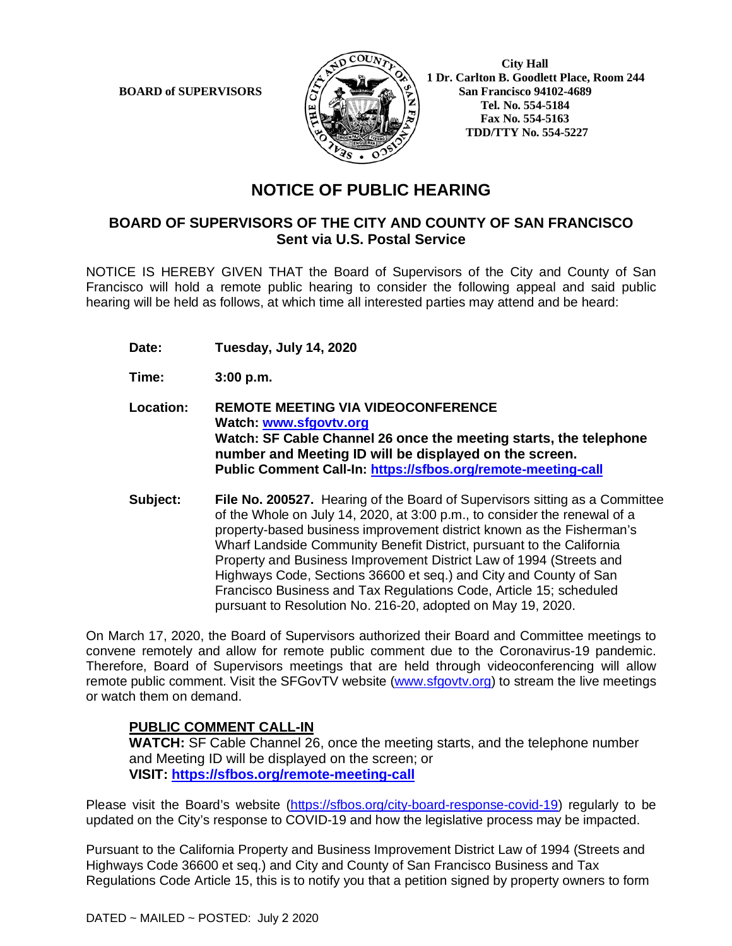**BOARD of SUPERVISORS** 



 **City Hall 1 Dr. Carlton B. Goodlett Place, Room 244 Tel. No. 554-5184 Fax No. 554-5163 TDD/TTY No. 554-5227** 

# **NOTICE OF PUBLIC HEARING**

### **BOARD OF SUPERVISORS OF THE CITY AND COUNTY OF SAN FRANCISCO Sent via U.S. Postal Service**

NOTICE IS HEREBY GIVEN THAT the Board of Supervisors of the City and County of San Francisco will hold a remote public hearing to consider the following appeal and said public hearing will be held as follows, at which time all interested parties may attend and be heard:

- **Date: Tuesday, July 14, 2020**
- **Time: 3:00 p.m.**
- **Location: REMOTE MEETING VIA VIDEOCONFERENCE Watch: www.sfgovtv.org Watch: SF Cable Channel 26 once the meeting starts, the telephone number and Meeting ID will be displayed on the screen. Public Comment Call-In: https://sfbos.org/remote-meeting-call**
- **Subject: File No. 200527.** Hearing of the Board of Supervisors sitting as a Committee of the Whole on July 14, 2020, at 3:00 p.m., to consider the renewal of a property-based business improvement district known as the Fisherman's Wharf Landside Community Benefit District, pursuant to the California Property and Business Improvement District Law of 1994 (Streets and Highways Code, Sections 36600 et seq.) and City and County of San Francisco Business and Tax Regulations Code, Article 15; scheduled pursuant to Resolution No. 216-20, adopted on May 19, 2020.

On March 17, 2020, the Board of Supervisors authorized their Board and Committee meetings to convene remotely and allow for remote public comment due to the Coronavirus-19 pandemic. Therefore, Board of Supervisors meetings that are held through videoconferencing will allow remote public comment. Visit the SFGovTV website (www.sfgovtv.org) to stream the live meetings or watch them on demand.

#### **PUBLIC COMMENT CALL-IN**

**WATCH:** SF Cable Channel 26, once the meeting starts, and the telephone number and Meeting ID will be displayed on the screen; or **VISIT: https://sfbos.org/remote-meeting-call**

Please visit the Board's website (https://sfbos.org/city-board-response-covid-19) regularly to be updated on the City's response to COVID-19 and how the legislative process may be impacted.

Pursuant to the California Property and Business Improvement District Law of 1994 (Streets and Highways Code 36600 et seq.) and City and County of San Francisco Business and Tax Regulations Code Article 15, this is to notify you that a petition signed by property owners to form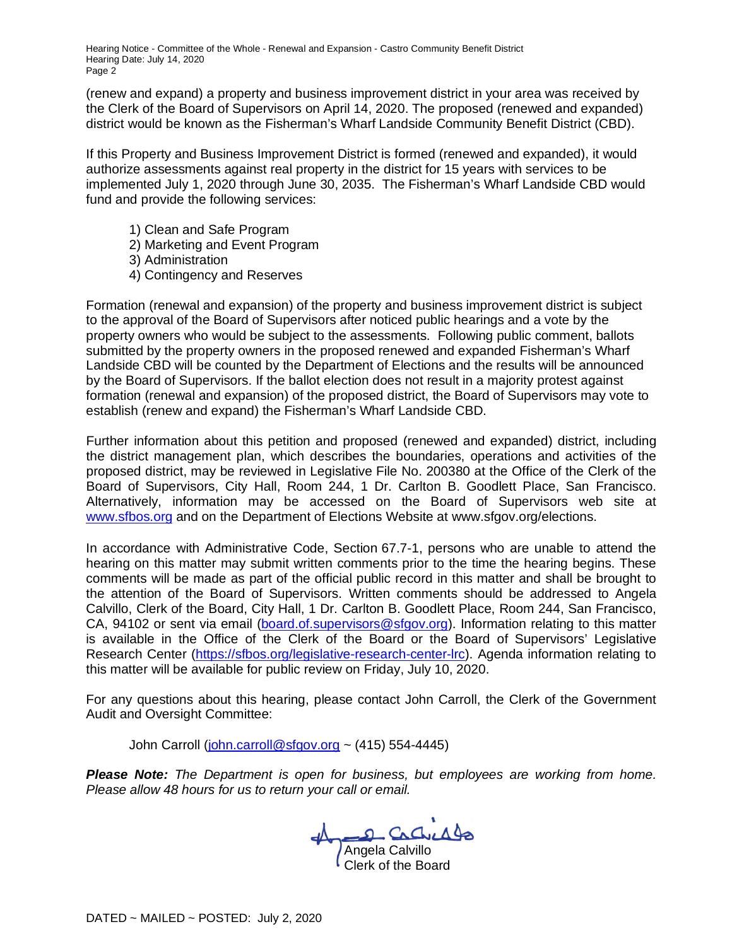Hearing Notice - Committee of the Whole - Renewal and Expansion - Castro Community Benefit District Hearing Date: July 14, 2020 Page 2

(renew and expand) a property and business improvement district in your area was received by the Clerk of the Board of Supervisors on April 14, 2020. The proposed (renewed and expanded) district would be known as the Fisherman's Wharf Landside Community Benefit District (CBD).

If this Property and Business Improvement District is formed (renewed and expanded), it would authorize assessments against real property in the district for 15 years with services to be implemented July 1, 2020 through June 30, 2035. The Fisherman's Wharf Landside CBD would fund and provide the following services:

- 1) Clean and Safe Program
- 2) Marketing and Event Program
- 3) Administration
- 4) Contingency and Reserves

Formation (renewal and expansion) of the property and business improvement district is subject to the approval of the Board of Supervisors after noticed public hearings and a vote by the property owners who would be subject to the assessments. Following public comment, ballots submitted by the property owners in the proposed renewed and expanded Fisherman's Wharf Landside CBD will be counted by the Department of Elections and the results will be announced by the Board of Supervisors. If the ballot election does not result in a majority protest against formation (renewal and expansion) of the proposed district, the Board of Supervisors may vote to establish (renew and expand) the Fisherman's Wharf Landside CBD.

Further information about this petition and proposed (renewed and expanded) district, including the district management plan, which describes the boundaries, operations and activities of the proposed district, may be reviewed in Legislative File No. 200380 at the Office of the Clerk of the Board of Supervisors, City Hall, Room 244, 1 Dr. Carlton B. Goodlett Place, San Francisco. Alternatively, information may be accessed on the Board of Supervisors web site at www.sfbos.org and on the Department of Elections Website at www.sfgov.org/elections.

In accordance with Administrative Code, Section 67.7-1, persons who are unable to attend the hearing on this matter may submit written comments prior to the time the hearing begins. These comments will be made as part of the official public record in this matter and shall be brought to the attention of the Board of Supervisors. Written comments should be addressed to Angela Calvillo, Clerk of the Board, City Hall, 1 Dr. Carlton B. Goodlett Place, Room 244, San Francisco, CA, 94102 or sent via email (board.of.supervisors@sfgov.org). Information relating to this matter is available in the Office of the Clerk of the Board or the Board of Supervisors' Legislative Research Center (https://sfbos.org/legislative-research-center-lrc). Agenda information relating to this matter will be available for public review on Friday, July 10, 2020.

For any questions about this hearing, please contact John Carroll, the Clerk of the Government Audit and Oversight Committee:

John Carroll (john.carroll@sfgov.org ~  $(415)$  554-4445)

*Please Note: The Department is open for business, but employees are working from home. Please allow 48 hours for us to return your call or email.* 

Angela Calvillo Clerk of the Board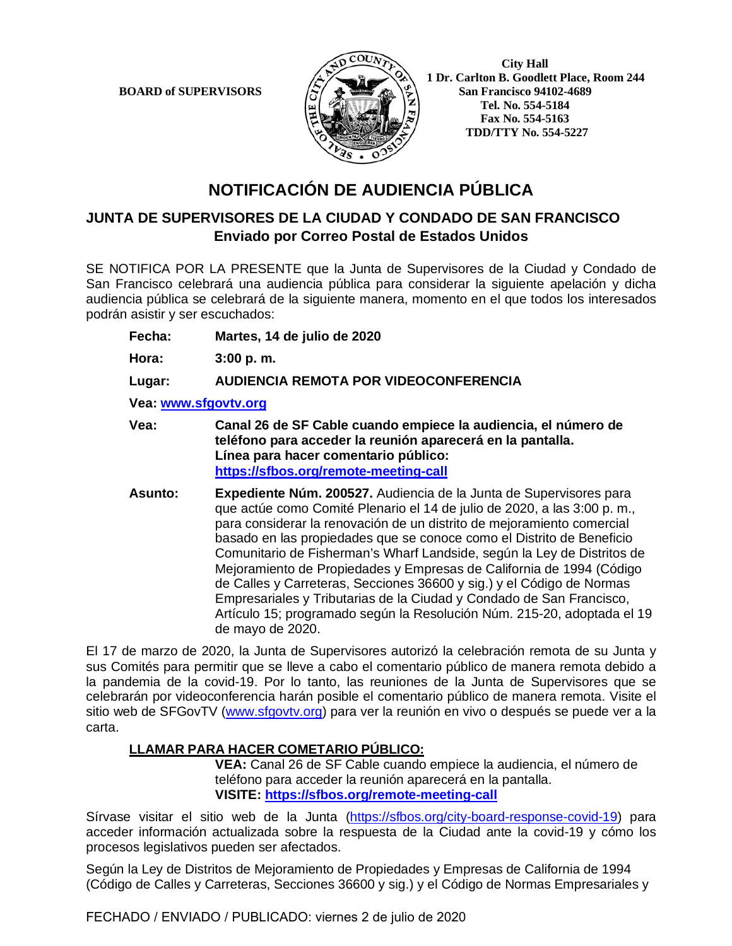**BOARD of SUPERVISORS** 



 **City Hall 1 Dr. Carlton B. Goodlett Place, Room 244 Tel. No. 554-5184 Fax No. 554-5163 TDD/TTY No. 554-5227** 

# **NOTIFICACIÓN DE AUDIENCIA PÚBLICA**

### **JUNTA DE SUPERVISORES DE LA CIUDAD Y CONDADO DE SAN FRANCISCO Enviado por Correo Postal de Estados Unidos**

SE NOTIFICA POR LA PRESENTE que la Junta de Supervisores de la Ciudad y Condado de San Francisco celebrará una audiencia pública para considerar la siguiente apelación y dicha audiencia pública se celebrará de la siguiente manera, momento en el que todos los interesados podrán asistir y ser escuchados:

**Fecha: Martes, 14 de julio de 2020**

**Hora: 3:00 p. m.**

**Lugar: AUDIENCIA REMOTA POR VIDEOCONFERENCIA**

**Vea: www.sfgovtv.org**

- **Vea: Canal 26 de SF Cable cuando empiece la audiencia, el número de teléfono para acceder la reunión aparecerá en la pantalla. Línea para hacer comentario público: https://sfbos.org/remote-meeting-call**
- **Asunto: Expediente Núm. 200527.** Audiencia de la Junta de Supervisores para que actúe como Comité Plenario el 14 de julio de 2020, a las 3:00 p. m., para considerar la renovación de un distrito de mejoramiento comercial basado en las propiedades que se conoce como el Distrito de Beneficio Comunitario de Fisherman's Wharf Landside, según la Ley de Distritos de Mejoramiento de Propiedades y Empresas de California de 1994 (Código de Calles y Carreteras, Secciones 36600 y sig.) y el Código de Normas Empresariales y Tributarias de la Ciudad y Condado de San Francisco, Artículo 15; programado según la Resolución Núm. 215-20, adoptada el 19 de mayo de 2020.

El 17 de marzo de 2020, la Junta de Supervisores autorizó la celebración remota de su Junta y sus Comités para permitir que se lleve a cabo el comentario público de manera remota debido a la pandemia de la covid-19. Por lo tanto, las reuniones de la Junta de Supervisores que se celebrarán por videoconferencia harán posible el comentario público de manera remota. Visite el sitio web de SFGovTV (www.sfgovtv.org) para ver la reunión en vivo o después se puede ver a la carta.

### **LLAMAR PARA HACER COMETARIO PÚBLICO:**

**VEA:** Canal 26 de SF Cable cuando empiece la audiencia, el número de teléfono para acceder la reunión aparecerá en la pantalla. **VISITE: https://sfbos.org/remote-meeting-call**

Sírvase visitar el sitio web de la Junta (https://sfbos.org/city-board-response-covid-19) para acceder información actualizada sobre la respuesta de la Ciudad ante la covid-19 y cómo los procesos legislativos pueden ser afectados.

Según la Ley de Distritos de Mejoramiento de Propiedades y Empresas de California de 1994 (Código de Calles y Carreteras, Secciones 36600 y sig.) y el Código de Normas Empresariales y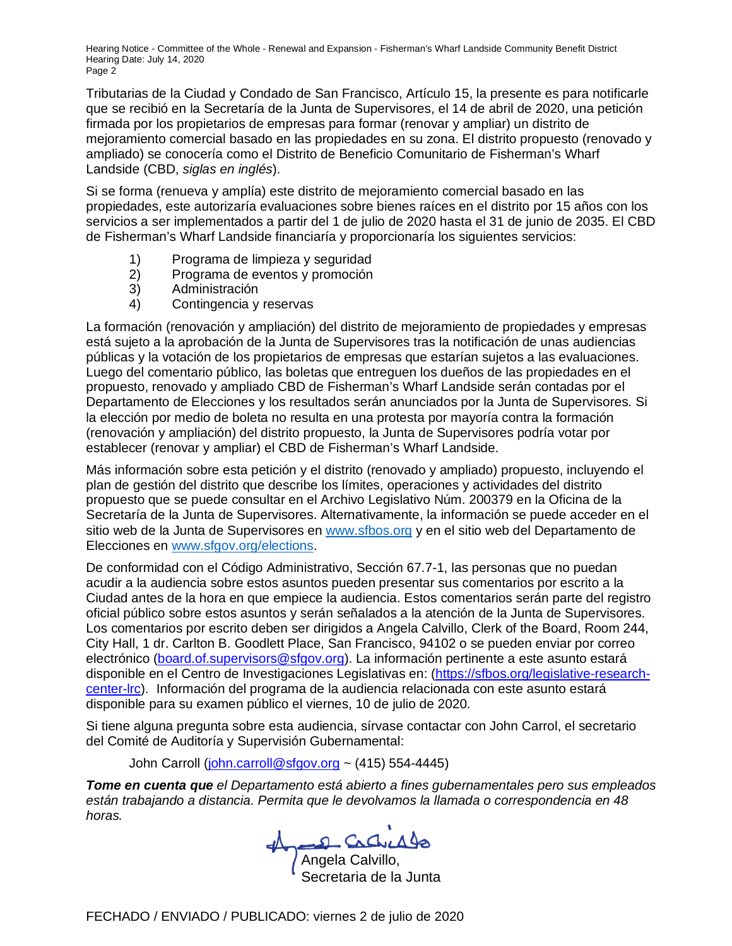Hearing Notice - Committee of the Whole - Renewal and Expansion - Fisherman's Wharf Landside Community Benefit District Hearing Date: July 14, 2020 Page 2

Tributarias de la Ciudad y Condado de San Francisco, Artículo 15, la presente es para notificarle que se recibió en la Secretaría de la Junta de Supervisores, el 14 de abril de 2020, una petición firmada por los propietarios de empresas para formar (renovar y ampliar) un distrito de mejoramiento comercial basado en las propiedades en su zona. El distrito propuesto (renovado y ampliado) se conocería como el Distrito de Beneficio Comunitario de Fisherman's Wharf Landside (CBD, *siglas en inglés*).

Si se forma (renueva y amplía) este distrito de mejoramiento comercial basado en las propiedades, este autorizaría evaluaciones sobre bienes raíces en el distrito por 15 años con los servicios a ser implementados a partir del 1 de julio de 2020 hasta el 31 de junio de 2035. El CBD de Fisherman's Wharf Landside financiaría y proporcionaría los siguientes servicios:

- 
- 1) Programa de limpieza y seguridad<br>2) Programa de eventos y promoción 2) Programa de eventos y promoción<br>3) Administración
- Administración
- 4) Contingencia y reservas

La formación (renovación y ampliación) del distrito de mejoramiento de propiedades y empresas está sujeto a la aprobación de la Junta de Supervisores tras la notificación de unas audiencias públicas y la votación de los propietarios de empresas que estarían sujetos a las evaluaciones. Luego del comentario público, las boletas que entreguen los dueños de las propiedades en el propuesto, renovado y ampliado CBD de Fisherman's Wharf Landside serán contadas por el Departamento de Elecciones y los resultados serán anunciados por la Junta de Supervisores. Si la elección por medio de boleta no resulta en una protesta por mayoría contra la formación (renovación y ampliación) del distrito propuesto, la Junta de Supervisores podría votar por establecer (renovar y ampliar) el CBD de Fisherman's Wharf Landside.

Más información sobre esta petición y el distrito (renovado y ampliado) propuesto, incluyendo el plan de gestión del distrito que describe los límites, operaciones y actividades del distrito propuesto que se puede consultar en el Archivo Legislativo Núm. 200379 en la Oficina de la Secretaría de la Junta de Supervisores. Alternativamente, la información se puede acceder en el sitio web de la Junta de Supervisores en www.sfbos.org y en el sitio web del Departamento de Elecciones en www.sfgov.org/elections.

De conformidad con el Código Administrativo, Sección 67.7-1, las personas que no puedan acudir a la audiencia sobre estos asuntos pueden presentar sus comentarios por escrito a la Ciudad antes de la hora en que empiece la audiencia. Estos comentarios serán parte del registro oficial público sobre estos asuntos y serán señalados a la atención de la Junta de Supervisores. Los comentarios por escrito deben ser dirigidos a Angela Calvillo, Clerk of the Board, Room 244, City Hall, 1 dr. Carlton B. Goodlett Place, San Francisco, 94102 o se pueden enviar por correo electrónico (board.of.supervisors@sfgov.org). La información pertinente a este asunto estará disponible en el Centro de Investigaciones Legislativas en: (https://sfbos.org/legislative-researchcenter-lrc). Información del programa de la audiencia relacionada con este asunto estará disponible para su examen público el viernes, 10 de julio de 2020.

Si tiene alguna pregunta sobre esta audiencia, sírvase contactar con John Carrol, el secretario del Comité de Auditoría y Supervisión Gubernamental:

John Carroll (john.carroll@sfgov.org ~ (415) 554-4445)

*Tome en cuenta que el Departamento está abierto a fines gubernamentales pero sus empleados están trabajando a distancia. Permita que le devolvamos la llamada o correspondencia en 48 horas.*

Angela Carlier Als

Secretaria de la Junta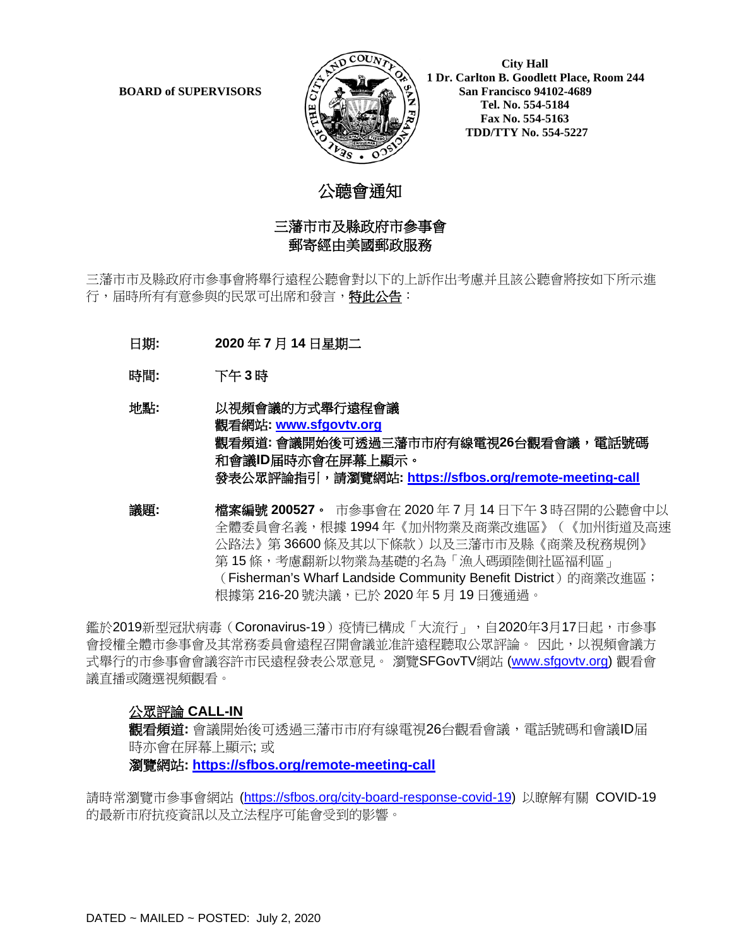

 **City Hall 1 Dr. Carlton B. Goodlett Place, Room 244 BOARD of SUPERVISORS**  $\left(\frac{S}{I}\right)$   $\oplus$   $\left(\frac{S}{I}\right)$  San Francisco 94102-4689  **Tel. No. 554-5184 Fax No. 554-5163 TDD/TTY No. 554-5227**

# 公聼會通知

### 三藩市市及縣政府市參事會 郵寄經由美國郵政服務

三藩市市及縣政府市參事會將舉行遠程公聽會對以下的上訴作出考慮并且該公聽會將按如下所示進 行,届時所有有意參與的民眾可出席和發言,特此公告:

- 日期**: 2020** 年 **7** 月 **14** 日星期二
- 時間**:** 下午 **3** 時

### 地點**:** 以視頻會議的方式舉行遠程會議 觀看網站**: [www.sfgovtv.org](http://www.sfgovtv.org/)** 觀看頻道**:** 會議開始後可透過三藩市市府有線電視**26**台觀看會議,電話號碼 和會議**ID**届時亦會在屏幕上顯示。 發表公眾評論指引,請瀏覽網站**:<https://sfbos.org/remote-meeting-call>**

議題**:** 檔案編號 **200527**。市參事會在 2020 年 7 月 14 日下午 3 時召開的公聽會中以 全體委員會名義,根據 1994 年《加州物業及商業改進區》(《加州街道及高速 公路法》第 36600 條及其以下條款)以及三藩市市及縣《商業及稅務規例》 第15條,考慮翻新以物業為基礎的名為「漁人碼頭陸側社區福利區」 (Fisherman's Wharf Landside Community Benefit District) 的商業改進區; 根據第 216-20 號決議,已於 2020 年 5 月 19 日獲通過。

鑑於2019新型冠狀病毒(Coronavirus-19)疫情已構成「大流行 」,自2020年3月17日起,市參事 會授權全體市參事會及其常務委員會遠程召開會議並准許遠程聽取公眾評論。 因此,以視頻會議方 式舉行的市參事會會議容許市民遠程發表公眾意見。 瀏覽SFGovTV網站 [\(www.sfgovtv.org\)](http://www.sfgovtv.org/) 觀看會 議直播或隨選視頻觀看。

### 公眾評論 **CALL-IN**

觀看頻道: 會議開始後可透過三藩市市府有線電視26台觀看會議,電話號碼和會議ID届 時亦會在屏幕上顯示; 或

#### 瀏覽網站**:<https://sfbos.org/remote-meeting-call>**

請時常瀏覽市參事會網站 [\(https://sfbos.org/city-board-response-covid-19\)](https://sfbos.org/city-board-response-covid-19) 以瞭解有關 COVID-19 的最新市府抗疫資訊以及立法程序可能會受到的影響。